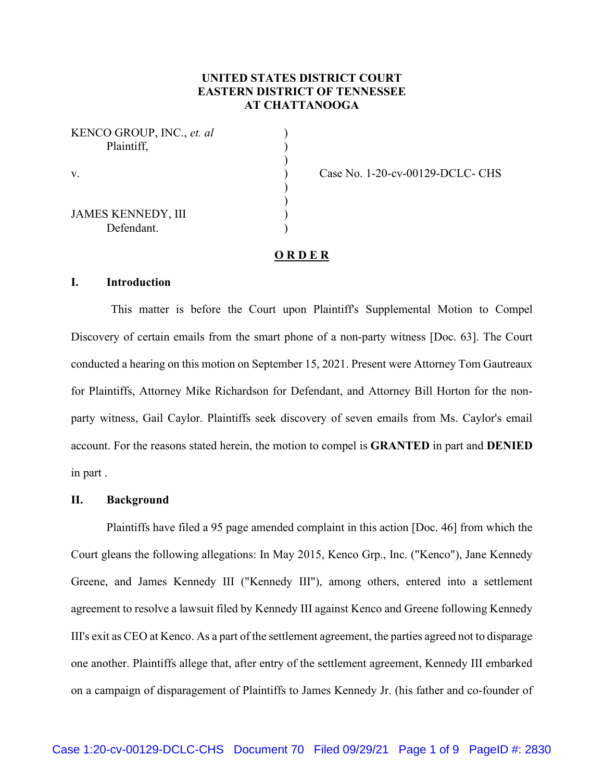# **UNITED STATES DISTRICT COURT EASTERN DISTRICT OF TENNESSEE AT CHATTANOOGA**

| KENCO GROUP, INC., et. al<br>Plaintiff, |  |
|-----------------------------------------|--|
| V.                                      |  |
| <b>JAMES KENNEDY, III</b><br>Defendant. |  |

Case No. 1-20-cv-00129-DCLC- CHS

#### **O R D E R**

# **I. Introduction**

This matter is before the Court upon Plaintiff's Supplemental Motion to Compel Discovery of certain emails from the smart phone of a non-party witness [Doc. 63]. The Court conducted a hearing on this motion on September 15, 2021. Present were Attorney Tom Gautreaux for Plaintiffs, Attorney Mike Richardson for Defendant, and Attorney Bill Horton for the nonparty witness, Gail Caylor. Plaintiffs seek discovery of seven emails from Ms. Caylor's email account. For the reasons stated herein, the motion to compel is **GRANTED** in part and **DENIED** in part .

# **II. Background**

Plaintiffs have filed a 95 page amended complaint in this action [Doc. 46] from which the Court gleans the following allegations: In May 2015, Kenco Grp., Inc. ("Kenco"), Jane Kennedy Greene, and James Kennedy III ("Kennedy III"), among others, entered into a settlement agreement to resolve a lawsuit filed by Kennedy III against Kenco and Greene following Kennedy III's exit as CEO at Kenco. As a part of the settlement agreement, the parties agreed not to disparage one another. Plaintiffs allege that, after entry of the settlement agreement, Kennedy III embarked on a campaign of disparagement of Plaintiffs to James Kennedy Jr. (his father and co-founder of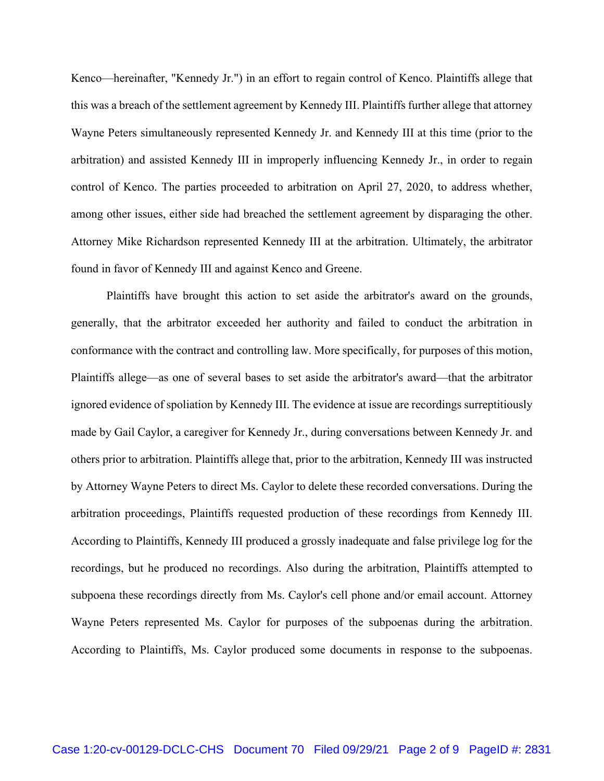Kenco—hereinafter, "Kennedy Jr.") in an effort to regain control of Kenco. Plaintiffs allege that this was a breach of the settlement agreement by Kennedy III. Plaintiffs further allege that attorney Wayne Peters simultaneously represented Kennedy Jr. and Kennedy III at this time (prior to the arbitration) and assisted Kennedy III in improperly influencing Kennedy Jr., in order to regain control of Kenco. The parties proceeded to arbitration on April 27, 2020, to address whether, among other issues, either side had breached the settlement agreement by disparaging the other. Attorney Mike Richardson represented Kennedy III at the arbitration. Ultimately, the arbitrator found in favor of Kennedy III and against Kenco and Greene.

Plaintiffs have brought this action to set aside the arbitrator's award on the grounds, generally, that the arbitrator exceeded her authority and failed to conduct the arbitration in conformance with the contract and controlling law. More specifically, for purposes of this motion, Plaintiffs allege—as one of several bases to set aside the arbitrator's award—that the arbitrator ignored evidence of spoliation by Kennedy III. The evidence at issue are recordings surreptitiously made by Gail Caylor, a caregiver for Kennedy Jr., during conversations between Kennedy Jr. and others prior to arbitration. Plaintiffs allege that, prior to the arbitration, Kennedy III was instructed by Attorney Wayne Peters to direct Ms. Caylor to delete these recorded conversations. During the arbitration proceedings, Plaintiffs requested production of these recordings from Kennedy III. According to Plaintiffs, Kennedy III produced a grossly inadequate and false privilege log for the recordings, but he produced no recordings. Also during the arbitration, Plaintiffs attempted to subpoena these recordings directly from Ms. Caylor's cell phone and/or email account. Attorney Wayne Peters represented Ms. Caylor for purposes of the subpoenas during the arbitration. According to Plaintiffs, Ms. Caylor produced some documents in response to the subpoenas.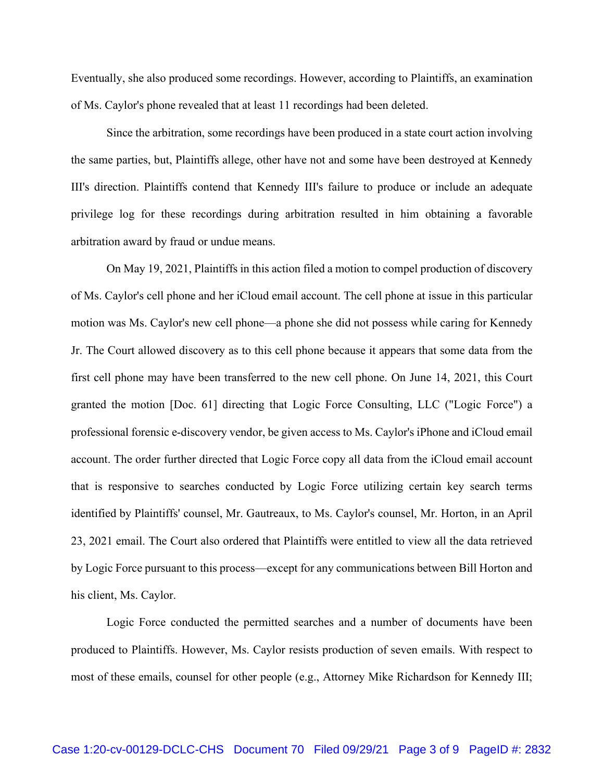Eventually, she also produced some recordings. However, according to Plaintiffs, an examination of Ms. Caylor's phone revealed that at least 11 recordings had been deleted.

Since the arbitration, some recordings have been produced in a state court action involving the same parties, but, Plaintiffs allege, other have not and some have been destroyed at Kennedy III's direction. Plaintiffs contend that Kennedy III's failure to produce or include an adequate privilege log for these recordings during arbitration resulted in him obtaining a favorable arbitration award by fraud or undue means.

On May 19, 2021, Plaintiffs in this action filed a motion to compel production of discovery of Ms. Caylor's cell phone and her iCloud email account. The cell phone at issue in this particular motion was Ms. Caylor's new cell phone—a phone she did not possess while caring for Kennedy Jr. The Court allowed discovery as to this cell phone because it appears that some data from the first cell phone may have been transferred to the new cell phone. On June 14, 2021, this Court granted the motion [Doc. 61] directing that Logic Force Consulting, LLC ("Logic Force") a professional forensic e-discovery vendor, be given access to Ms. Caylor's iPhone and iCloud email account. The order further directed that Logic Force copy all data from the iCloud email account that is responsive to searches conducted by Logic Force utilizing certain key search terms identified by Plaintiffs' counsel, Mr. Gautreaux, to Ms. Caylor's counsel, Mr. Horton, in an April 23, 2021 email. The Court also ordered that Plaintiffs were entitled to view all the data retrieved by Logic Force pursuant to this process—except for any communications between Bill Horton and his client, Ms. Caylor.

Logic Force conducted the permitted searches and a number of documents have been produced to Plaintiffs. However, Ms. Caylor resists production of seven emails. With respect to most of these emails, counsel for other people (e.g., Attorney Mike Richardson for Kennedy III;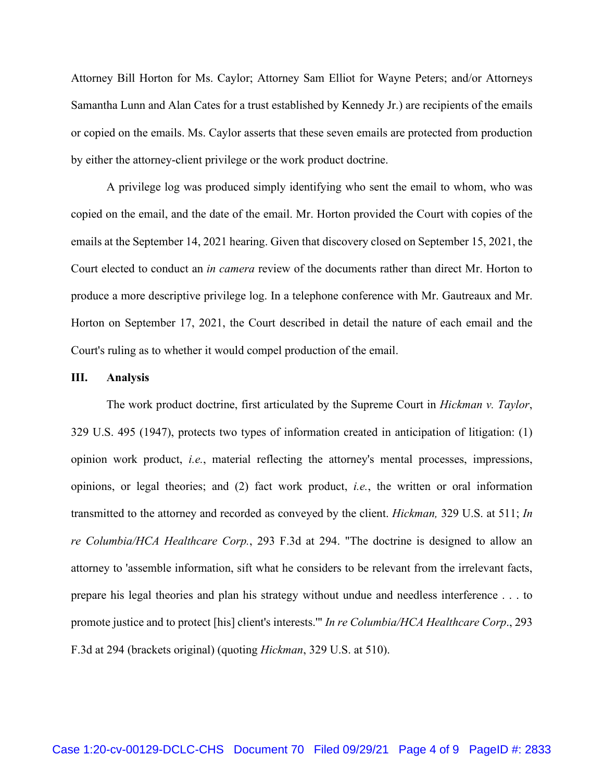Attorney Bill Horton for Ms. Caylor; Attorney Sam Elliot for Wayne Peters; and/or Attorneys Samantha Lunn and Alan Cates for a trust established by Kennedy Jr.) are recipients of the emails or copied on the emails. Ms. Caylor asserts that these seven emails are protected from production by either the attorney-client privilege or the work product doctrine.

A privilege log was produced simply identifying who sent the email to whom, who was copied on the email, and the date of the email. Mr. Horton provided the Court with copies of the emails at the September 14, 2021 hearing. Given that discovery closed on September 15, 2021, the Court elected to conduct an *in camera* review of the documents rather than direct Mr. Horton to produce a more descriptive privilege log. In a telephone conference with Mr. Gautreaux and Mr. Horton on September 17, 2021, the Court described in detail the nature of each email and the Court's ruling as to whether it would compel production of the email.

### **III. Analysis**

The work product doctrine, first articulated by the Supreme Court in *Hickman v. Taylor*, 329 U.S. 495 (1947), protects two types of information created in anticipation of litigation: (1) opinion work product, *i.e.*, material reflecting the attorney's mental processes, impressions, opinions, or legal theories; and (2) fact work product, *i.e.*, the written or oral information transmitted to the attorney and recorded as conveyed by the client. *Hickman,* 329 U.S. at 511; *In re Columbia/HCA Healthcare Corp.*, 293 F.3d at 294. "The doctrine is designed to allow an attorney to 'assemble information, sift what he considers to be relevant from the irrelevant facts, prepare his legal theories and plan his strategy without undue and needless interference . . . to promote justice and to protect [his] client's interests.'" *In re Columbia/HCA Healthcare Corp*., 293 F.3d at 294 (brackets original) (quoting *Hickman*, 329 U.S. at 510).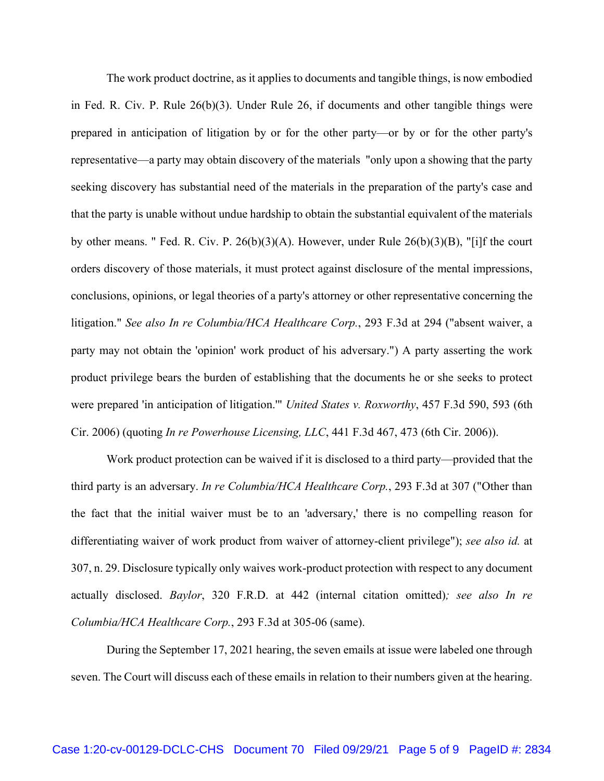The work product doctrine, as it applies to documents and tangible things, is now embodied in Fed. R. Civ. P. Rule 26(b)(3). Under Rule 26, if documents and other tangible things were prepared in anticipation of litigation by or for the other party—or by or for the other party's representative—a party may obtain discovery of the materials "only upon a showing that the party seeking discovery has substantial need of the materials in the preparation of the party's case and that the party is unable without undue hardship to obtain the substantial equivalent of the materials by other means. " Fed. R. Civ. P.  $26(b)(3)(A)$ . However, under Rule  $26(b)(3)(B)$ , "[i]f the court orders discovery of those materials, it must protect against disclosure of the mental impressions, conclusions, opinions, or legal theories of a party's attorney or other representative concerning the litigation." *See also In re Columbia/HCA Healthcare Corp.*, 293 F.3d at 294 ("absent waiver, a party may not obtain the 'opinion' work product of his adversary.") A party asserting the work product privilege bears the burden of establishing that the documents he or she seeks to protect were prepared 'in anticipation of litigation.'" *United States v. Roxworthy*, 457 F.3d 590, 593 (6th Cir. 2006) (quoting *In re Powerhouse Licensing, LLC*, 441 F.3d 467, 473 (6th Cir. 2006)).

Work product protection can be waived if it is disclosed to a third party—provided that the third party is an adversary. *In re Columbia/HCA Healthcare Corp.*, 293 F.3d at 307 ("Other than the fact that the initial waiver must be to an 'adversary,' there is no compelling reason for differentiating waiver of work product from waiver of attorney-client privilege"); *see also id.* at 307, n. 29. Disclosure typically only waives work-product protection with respect to any document actually disclosed. *Baylor*, 320 F.R.D. at 442 (internal citation omitted)*; see also In re Columbia/HCA Healthcare Corp.*, 293 F.3d at 305-06 (same).

During the September 17, 2021 hearing, the seven emails at issue were labeled one through seven. The Court will discuss each of these emails in relation to their numbers given at the hearing.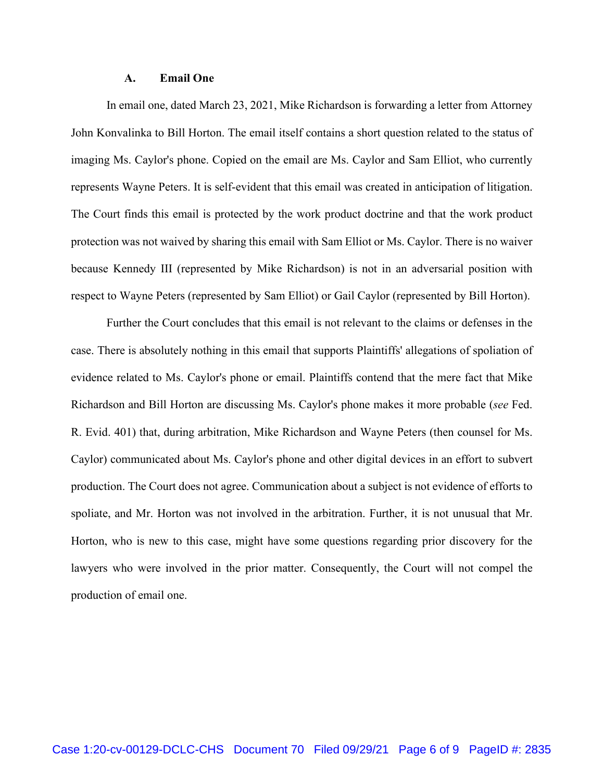### **A. Email One**

In email one, dated March 23, 2021, Mike Richardson is forwarding a letter from Attorney John Konvalinka to Bill Horton. The email itself contains a short question related to the status of imaging Ms. Caylor's phone. Copied on the email are Ms. Caylor and Sam Elliot, who currently represents Wayne Peters. It is self-evident that this email was created in anticipation of litigation. The Court finds this email is protected by the work product doctrine and that the work product protection was not waived by sharing this email with Sam Elliot or Ms. Caylor. There is no waiver because Kennedy III (represented by Mike Richardson) is not in an adversarial position with respect to Wayne Peters (represented by Sam Elliot) or Gail Caylor (represented by Bill Horton).

Further the Court concludes that this email is not relevant to the claims or defenses in the case. There is absolutely nothing in this email that supports Plaintiffs' allegations of spoliation of evidence related to Ms. Caylor's phone or email. Plaintiffs contend that the mere fact that Mike Richardson and Bill Horton are discussing Ms. Caylor's phone makes it more probable (*see* Fed. R. Evid. 401) that, during arbitration, Mike Richardson and Wayne Peters (then counsel for Ms. Caylor) communicated about Ms. Caylor's phone and other digital devices in an effort to subvert production. The Court does not agree. Communication about a subject is not evidence of efforts to spoliate, and Mr. Horton was not involved in the arbitration. Further, it is not unusual that Mr. Horton, who is new to this case, might have some questions regarding prior discovery for the lawyers who were involved in the prior matter. Consequently, the Court will not compel the production of email one.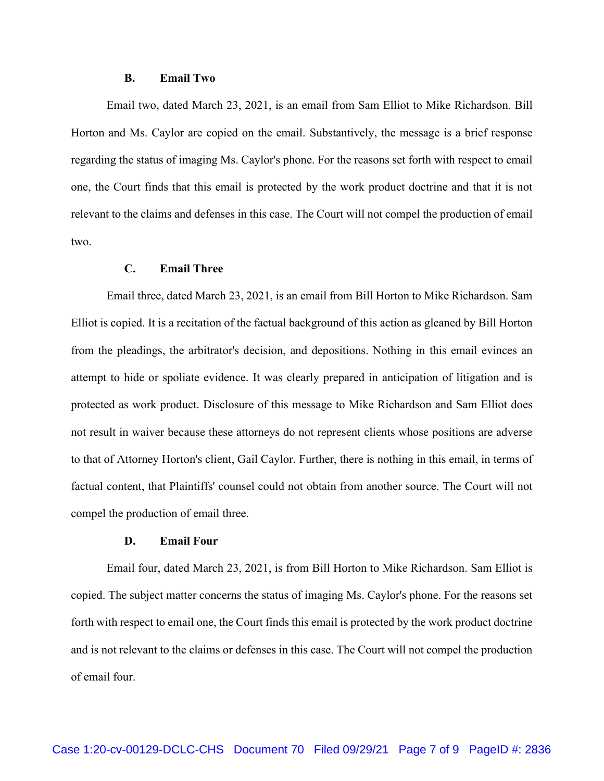#### **B. Email Two**

Email two, dated March 23, 2021, is an email from Sam Elliot to Mike Richardson. Bill Horton and Ms. Caylor are copied on the email. Substantively, the message is a brief response regarding the status of imaging Ms. Caylor's phone. For the reasons set forth with respect to email one, the Court finds that this email is protected by the work product doctrine and that it is not relevant to the claims and defenses in this case. The Court will not compel the production of email two.

### **C. Email Three**

Email three, dated March 23, 2021, is an email from Bill Horton to Mike Richardson. Sam Elliot is copied. It is a recitation of the factual background of this action as gleaned by Bill Horton from the pleadings, the arbitrator's decision, and depositions. Nothing in this email evinces an attempt to hide or spoliate evidence. It was clearly prepared in anticipation of litigation and is protected as work product. Disclosure of this message to Mike Richardson and Sam Elliot does not result in waiver because these attorneys do not represent clients whose positions are adverse to that of Attorney Horton's client, Gail Caylor. Further, there is nothing in this email, in terms of factual content, that Plaintiffs' counsel could not obtain from another source. The Court will not compel the production of email three.

### **D. Email Four**

Email four, dated March 23, 2021, is from Bill Horton to Mike Richardson. Sam Elliot is copied. The subject matter concerns the status of imaging Ms. Caylor's phone. For the reasons set forth with respect to email one, the Court finds this email is protected by the work product doctrine and is not relevant to the claims or defenses in this case. The Court will not compel the production of email four.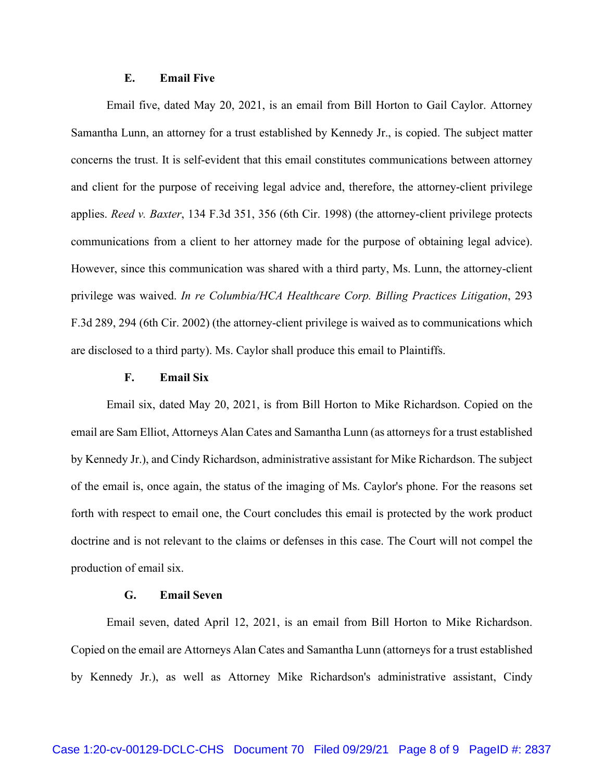#### **E. Email Five**

Email five, dated May 20, 2021, is an email from Bill Horton to Gail Caylor. Attorney Samantha Lunn, an attorney for a trust established by Kennedy Jr., is copied. The subject matter concerns the trust. It is self-evident that this email constitutes communications between attorney and client for the purpose of receiving legal advice and, therefore, the attorney-client privilege applies. *Reed v. Baxter*, 134 F.3d 351, 356 (6th Cir. 1998) (the attorney-client privilege protects communications from a client to her attorney made for the purpose of obtaining legal advice). However, since this communication was shared with a third party, Ms. Lunn, the attorney-client privilege was waived. *In re Columbia/HCA Healthcare Corp. Billing Practices Litigation*, 293 F.3d 289, 294 (6th Cir. 2002) (the attorney-client privilege is waived as to communications which are disclosed to a third party). Ms. Caylor shall produce this email to Plaintiffs.

#### **F. Email Six**

Email six, dated May 20, 2021, is from Bill Horton to Mike Richardson. Copied on the email are Sam Elliot, Attorneys Alan Cates and Samantha Lunn (as attorneys for a trust established by Kennedy Jr.), and Cindy Richardson, administrative assistant for Mike Richardson. The subject of the email is, once again, the status of the imaging of Ms. Caylor's phone. For the reasons set forth with respect to email one, the Court concludes this email is protected by the work product doctrine and is not relevant to the claims or defenses in this case. The Court will not compel the production of email six.

# **G. Email Seven**

Email seven, dated April 12, 2021, is an email from Bill Horton to Mike Richardson. Copied on the email are Attorneys Alan Cates and Samantha Lunn (attorneys for a trust established by Kennedy Jr.), as well as Attorney Mike Richardson's administrative assistant, Cindy